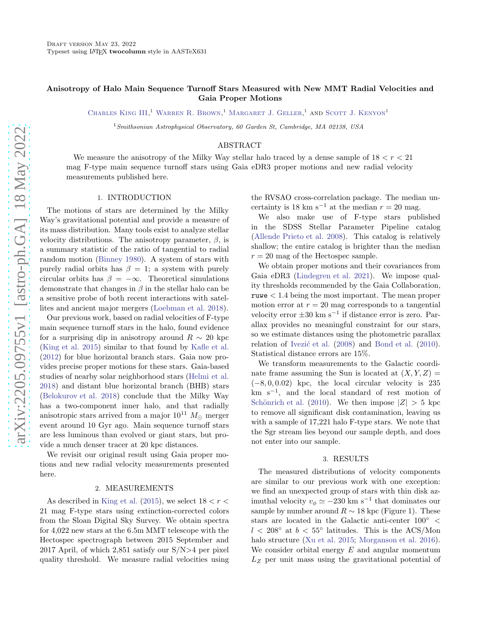# Anisotropy of Halo Main Sequence Turnoff Stars Measured with New MMT Radial Velocities and Gaia Proper Motions

CHARLES KING III,<sup>1</sup> WARREN R. BROWN,<sup>1</sup> MARGARET J. GELLER,<sup>1</sup> AND SCOTT J. KENYON<sup>1</sup>

 $1$ Smithsonian Astrophysical Observatory, 60 Garden St, Cambridge, MA 02138, USA

### ABSTRACT

We measure the anisotropy of the Milky Way stellar halo traced by a dense sample of  $18 < r < 21$ mag F-type main sequence turnoff stars using Gaia eDR3 proper motions and new radial velocity measurements published here.

### 1. INTRODUCTION

The motions of stars are determined by the Milky Way's gravitational potential and provide a measure of its mass distribution. Many tools exist to analyze stellar velocity distributions. The anisotropy parameter,  $\beta$ , is a summary statistic of the ratio of tangential to radial random motion [\(Binney 1980\)](#page-2-0). A system of stars with purely radial orbits has  $\beta = 1$ ; a system with purely circular orbits has  $\beta = -\infty$ . Theoretical simulations demonstrate that changes in  $\beta$  in the stellar halo can be a sensitive probe of both recent interactions with satellites and ancient major mergers [\(Loebman et al. 2018\)](#page-2-1).

Our previous work, based on radial velocities of F-type main sequence turnoff stars in the halo, found evidence for a surprising dip in anisotropy around  $R \sim 20$  kpc [\(King et al. 2015\)](#page-2-2) similar to that found by [Kafle et al.](#page-2-3) [\(2012\)](#page-2-3) for blue horizontal branch stars. Gaia now provides precise proper motions for these stars. Gaia-based studies of nearby solar neighborhood stars [\(Helmi et al.](#page-2-4) [2018\)](#page-2-4) and distant blue horizontal branch (BHB) stars [\(Belokurov et al. 2018\)](#page-2-5) conclude that the Milky Way has a two-component inner halo, and that radially anisotropic stars arrived from a major  $10^{11} M_{\odot}$  merger event around 10 Gyr ago. Main sequence turnoff stars are less luminous than evolved or giant stars, but provide a much denser tracer at 20 kpc distances.

We revisit our original result using Gaia proper motions and new radial velocity measurements presented here.

#### 2. MEASUREMENTS

As described in [King et al.](#page-2-2) [\(2015\)](#page-2-2), we select  $18 < r <$ 21 mag F-type stars using extinction-corrected colors from the Sloan Digital Sky Survey. We obtain spectra for 4,022 new stars at the 6.5m MMT telescope with the Hectospec spectrograph between 2015 September and 2017 April, of which 2,851 satisfy our S/N>4 per pixel quality threshold. We measure radial velocities using the RVSAO cross-correlation package. The median uncertainty is 18 km s<sup>-1</sup> at the median  $r = 20$  mag.

We also make use of F-type stars published in the SDSS Stellar Parameter Pipeline catalog [\(Allende Prieto et al. 2008](#page-2-6)). This catalog is relatively shallow; the entire catalog is brighter than the median  $r = 20$  mag of the Hectospec sample.

We obtain proper motions and their covariances from Gaia eDR3 [\(Lindegren et al. 2021\)](#page-2-7). We impose quality thresholds recommended by the Gaia Collaboration, ruwe < 1.4 being the most important. The mean proper motion error at  $r = 20$  mag corresponds to a tangential velocity error ±30 km s<sup>−</sup><sup>1</sup> if distance error is zero. Parallax provides no meaningful constraint for our stars, so we estimate distances using the photometric parallax relation of Ivezić et al. [\(2008\)](#page-2-8) and [Bond et al.](#page-2-9) [\(2010](#page-2-9)). Statistical distance errors are 15%.

We transform measurements to the Galactic coordinate frame assuming the Sun is located at  $(X, Y, Z) =$  $(-8, 0, 0.02)$  kpc, the local circular velocity is 235 km s<sup>−</sup><sup>1</sup> , and the local standard of rest motion of Schönrich et al. [\(2010\)](#page-2-10). We then impose  $|Z| > 5$  kpc to remove all significant disk contamination, leaving us with a sample of 17,221 halo F-type stars. We note that the Sgr stream lies beyond our sample depth, and does not enter into our sample.

#### 3. RESULTS

The measured distributions of velocity components are similar to our previous work with one exception: we find an unexpected group of stars with thin disk azimuthal velocity  $v_{\phi} \simeq -230$  km s<sup>-1</sup> that dominates our sample by number around  $R \sim 18$  kpc (Figure 1). These stars are located in the Galactic anti-center 100◦ <  $l < 208^\circ$  at  $b < 55^\circ$  latitudes. This is the ACS/Mon halo structure [\(Xu et al. 2015;](#page-2-11) [Morganson et al. 2016](#page-2-12)). We consider orbital energy  $E$  and angular momentum  $L<sub>Z</sub>$  per unit mass using the gravitational potential of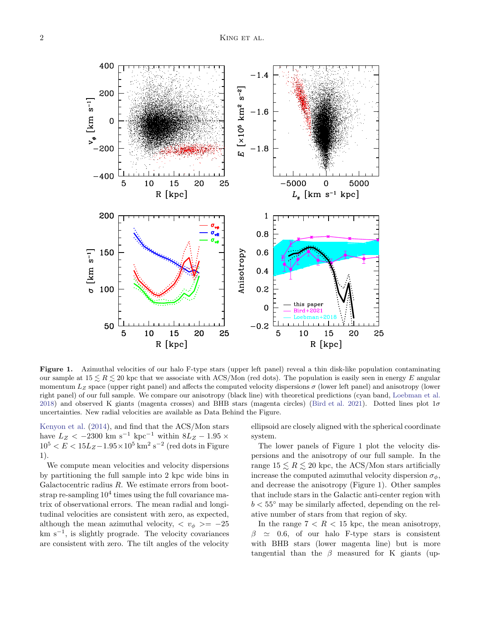Figure 1. Azimuthal velocities of our halo F-type stars (upper left panel) reveal a thin disk-like population contaminating our sample at  $15 \le R \le 20$  kpc that we associate with ACS/Mon (red dots). The population is easily seen in energy E angular momentum  $L_z$  space (upper right panel) and affects the computed velocity dispersions  $\sigma$  (lower left panel) and anisotropy (lower right panel) of our full sample. We compare our anisotropy (black line) with theoretical predictions (cyan band, [Loebman et al.](#page-2-1) [2018](#page-2-1)) and observed K giants (magenta crosses) and BHB stars (magenta circles) [\(Bird et al. 2021](#page-2-13)). Dotted lines plot 1σ uncertainties. New radial velocities are available as Data Behind the Figure.

[Kenyon et al.](#page-2-14) [\(2014](#page-2-14)), and find that the ACS/Mon stars have  $L_Z < -2300 \text{ km s}^{-1} \text{ kpc}^{-1}$  within  $8L_Z - 1.95 \times$  $10^5 < E < 15L_Z - 1.95 \times 10^5$  km<sup>2</sup> s<sup>-2</sup> (red dots in Figure 1).

We compute mean velocities and velocity dispersions by partitioning the full sample into 2 kpc wide bins in Galactocentric radius  $R$ . We estimate errors from bootstrap re-sampling  $10^4$  times using the full covariance matrix of observational errors. The mean radial and longitudinal velocities are consistent with zero, as expected, although the mean azimuthal velocity,  $\langle v_{\phi} \rangle = -25$ km s<sup>-1</sup>, is slightly prograde. The velocity covariances are consistent with zero. The tilt angles of the velocity

ellipsoid are closely aligned with the spherical coordinate system.

The lower panels of Figure 1 plot the velocity dispersions and the anisotropy of our full sample. In the range  $15 \le R \le 20$  kpc, the ACS/Mon stars artificially increase the computed azimuthal velocity dispersion  $\sigma_{\phi}$ , and decrease the anisotropy (Figure 1). Other samples that include stars in the Galactic anti-center region with  $b < 55^{\circ}$  may be similarly affected, depending on the relative number of stars from that region of sky.

In the range  $7 < R < 15$  kpc, the mean anisotropy,  $\beta \simeq 0.6$ , of our halo F-type stars is consistent with BHB stars (lower magenta line) but is more tangential than the  $\beta$  measured for K giants (up-